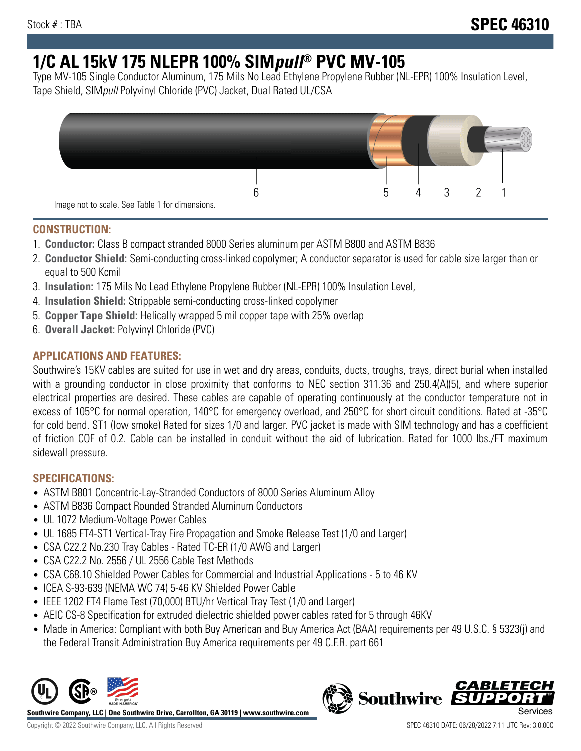# **1/C AL 15kV 175 NLEPR 100% SIMpull® PVC MV-105**

Type MV-105 Single Conductor Aluminum, 175 Mils No Lead Ethylene Propylene Rubber (NL-EPR) 100% Insulation Level, Tape Shield, SIMpull Polyvinyl Chloride (PVC) Jacket, Dual Rated UL/CSA



## **CONSTRUCTION:**

- 1. **Conductor:** Class B compact stranded 8000 Series aluminum per ASTM B800 and ASTM B836
- 2. **Conductor Shield:** Semi-conducting cross-linked copolymer; A conductor separator is used for cable size larger than or equal to 500 Kcmil
- 3. **Insulation:** 175 Mils No Lead Ethylene Propylene Rubber (NL-EPR) 100% Insulation Level,
- 4. **Insulation Shield:** Strippable semi-conducting cross-linked copolymer
- 5. **Copper Tape Shield:** Helically wrapped 5 mil copper tape with 25% overlap
- 6. **Overall Jacket:** Polyvinyl Chloride (PVC)

# **APPLICATIONS AND FEATURES:**

Southwire's 15KV cables are suited for use in wet and dry areas, conduits, ducts, troughs, trays, direct burial when installed with a grounding conductor in close proximity that conforms to NEC section 311.36 and 250.4(A)(5), and where superior electrical properties are desired. These cables are capable of operating continuously at the conductor temperature not in excess of 105°C for normal operation, 140°C for emergency overload, and 250°C for short circuit conditions. Rated at -35°C for cold bend. ST1 (low smoke) Rated for sizes 1/0 and larger. PVC jacket is made with SIM technology and has a coefficient of friction COF of 0.2. Cable can be installed in conduit without the aid of lubrication. Rated for 1000 lbs./FT maximum sidewall pressure.

## **SPECIFICATIONS:**

- ASTM B801 Concentric-Lay-Stranded Conductors of 8000 Series Aluminum Alloy
- ASTM B836 Compact Rounded Stranded Aluminum Conductors
- UL 1072 Medium-Voltage Power Cables
- UL 1685 FT4-ST1 Vertical-Tray Fire Propagation and Smoke Release Test (1/0 and Larger)
- CSA C22.2 No.230 Tray Cables Rated TC-ER (1/0 AWG and Larger)
- CSA C22.2 No. 2556 / UL 2556 Cable Test Methods
- CSA C68.10 Shielded Power Cables for Commercial and Industrial Applications 5 to 46 KV
- ICEA S-93-639 (NEMA WC 74) 5-46 KV Shielded Power Cable
- IEEE 1202 FT4 Flame Test (70,000) BTU/hr Vertical Tray Test (1/0 and Larger)
- AEIC CS-8 Specification for extruded dielectric shielded power cables rated for 5 through 46KV
- Made in America: Compliant with both Buy American and Buy America Act (BAA) requirements per 49 U.S.C. § 5323(j) and the Federal Transit Administration Buy America requirements per 49 C.F.R. part 661



**Southwire Company, LLC | One Southwire Drive, Carrollton, GA 30119 | www.southwire.com**